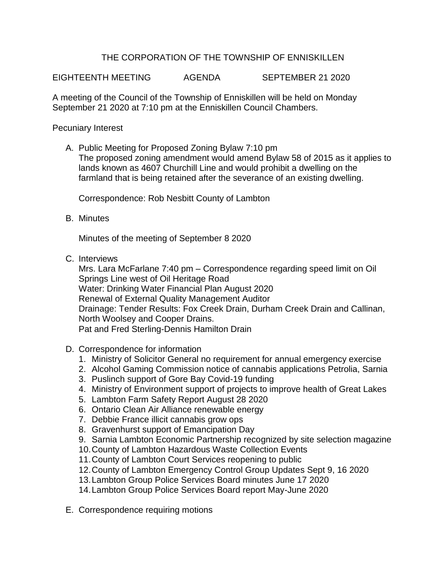## THE CORPORATION OF THE TOWNSHIP OF ENNISKILLEN

EIGHTEENTH MEETING AGENDA SEPTEMBER 21 2020

A meeting of the Council of the Township of Enniskillen will be held on Monday September 21 2020 at 7:10 pm at the Enniskillen Council Chambers.

Pecuniary Interest

A. Public Meeting for Proposed Zoning Bylaw 7:10 pm The proposed zoning amendment would amend Bylaw 58 of 2015 as it applies to lands known as 4607 Churchill Line and would prohibit a dwelling on the farmland that is being retained after the severance of an existing dwelling.

Correspondence: Rob Nesbitt County of Lambton

B. Minutes

Minutes of the meeting of September 8 2020

C. Interviews

Mrs. Lara McFarlane 7:40 pm – Correspondence regarding speed limit on Oil Springs Line west of Oil Heritage Road Water: Drinking Water Financial Plan August 2020 Renewal of External Quality Management Auditor Drainage: Tender Results: Fox Creek Drain, Durham Creek Drain and Callinan, North Woolsey and Cooper Drains. Pat and Fred Sterling-Dennis Hamilton Drain

- D. Correspondence for information
	- 1. Ministry of Solicitor General no requirement for annual emergency exercise
	- 2. Alcohol Gaming Commission notice of cannabis applications Petrolia, Sarnia
	- 3. Puslinch support of Gore Bay Covid-19 funding
	- 4. Ministry of Environment support of projects to improve health of Great Lakes
	- 5. Lambton Farm Safety Report August 28 2020
	- 6. Ontario Clean Air Alliance renewable energy
	- 7. Debbie France illicit cannabis grow ops
	- 8. Gravenhurst support of Emancipation Day
	- 9. Sarnia Lambton Economic Partnership recognized by site selection magazine
	- 10.County of Lambton Hazardous Waste Collection Events
	- 11.County of Lambton Court Services reopening to public
	- 12.County of Lambton Emergency Control Group Updates Sept 9, 16 2020
	- 13.Lambton Group Police Services Board minutes June 17 2020
	- 14.Lambton Group Police Services Board report May-June 2020
- E. Correspondence requiring motions